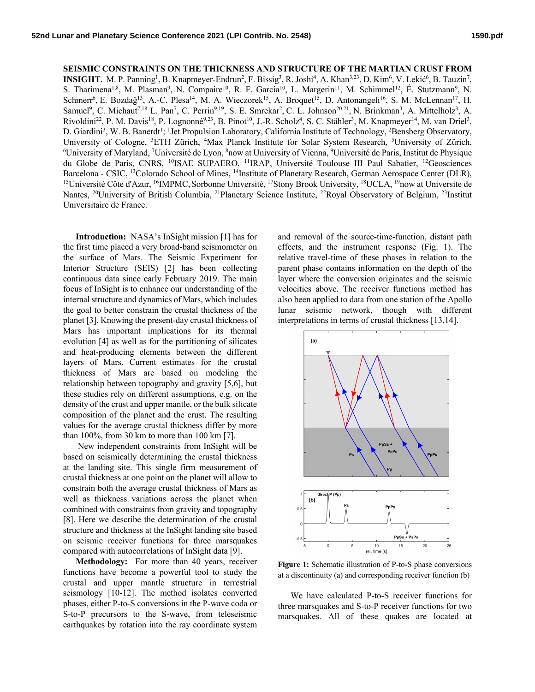**SEISMIC CONSTRAINTS ON THE THICKNESS AND STRUCTURE OF THE MARTIAN CRUST FROM**  INSIGHT. M. P. Panning<sup>1</sup>, B. Knapmeyer-Endrun<sup>2</sup>, F. Bissig<sup>3</sup>, R. Joshi<sup>4</sup>, A. Khan<sup>3,23</sup>, D. Kim<sup>6</sup>, V. Lekić<sup>6</sup>, B. Tauzin<sup>7</sup>, S. Tharimena<sup>1,8</sup>, M. Plasman<sup>9</sup>, N. Compaire<sup>10</sup>, R. F. Garcia<sup>10</sup>, L. Margerin<sup>11</sup>, M. Schimmel<sup>12</sup>, É. Stutzmann<sup>9</sup>, N. Schmerr<sup>6</sup>, E. Bozdağ<sup>13</sup>, A.-C. Plesa<sup>14</sup>, M. A. Wieczorek<sup>15</sup>, A. Broquet<sup>15</sup>, D. Antonangeli<sup>16</sup>, S. M. McLennan<sup>17</sup>, H. Samuel<sup>9</sup>, C. Michaut<sup>7,18</sup> L. Pan<sup>7</sup>, C. Perrin<sup>9,19</sup>, S. E. Smrekar<sup>2</sup>, C. L. Johnson<sup>20,21</sup>, N. Brinkman<sup>3</sup>, A. Mittelholz<sup>3</sup>, A. Rivoldini<sup>22</sup>, P. M. Davis<sup>18</sup>, P. Lognonné<sup>9,23</sup>, B. Pinot<sup>10</sup>, J.-R. Scholz<sup>4</sup>, S. C. Stähler<sup>3</sup>, M. Knapmeyer<sup>14</sup>, M. van Driel<sup>3</sup>, D. Giardini<sup>3</sup>, W. B. Banerdt<sup>1</sup>; <sup>1</sup>Jet Propulsion Laboratory, California Institute of Technology, <sup>2</sup>Bensberg Observatory, University of Cologne, <sup>3</sup>ETH Zürich, <sup>4</sup>Max Planck Institute for Solar System Research, <sup>5</sup>University of Zürich, <sup>6</sup>University of Maryland <sup>7</sup>University of Maryland <sup>7</sup>University of Maryland <sup>7</sup>University of Maryland <sup>7</sup>U University of Maryland, <sup>7</sup>Université de Lyon, <sup>8</sup>now at University of Vienna, <sup>9</sup>Université de Paris, Institut de Physique du Globe de Paris, CNRS, <sup>10</sup>ISAE SUPAERO, <sup>11</sup>IRAP, Université Toulouse III Paul Sabatier, <sup>12</sup>Geosciences Barcelona - CSIC, <sup>13</sup>Colorado School of Mines, <sup>14</sup>Institute of Planetary Research, German Aerospace Center (DLR), <sup>15</sup>Université Côte d'Azur, <sup>16</sup>IMPMC, Sorbonne Université, <sup>17</sup>Stony Brook University, <sup>18</sup>UCLA, <sup>19</sup>now Nantes, <sup>20</sup>University of British Columbia, <sup>21</sup>Planetary Science Institute, <sup>22</sup>Royal Observatory of Belgium, <sup>23</sup>Institut Universitaire de France.

**Introduction:** NASA's InSight mission [1] has for the first time placed a very broad-band seismometer on the surface of Mars. The Seismic Experiment for Interior Structure (SEIS) [2] has been collecting continuous data since early February 2019. The main focus of InSight is to enhance our understanding of the internal structure and dynamics of Mars, which includes the goal to better constrain the crustal thickness of the planet [3]. Knowing the present-day crustal thickness of Mars has important implications for its thermal evolution [4] as well as for the partitioning of silicates and heat-producing elements between the different layers of Mars. Current estimates for the crustal thickness of Mars are based on modeling the relationship between topography and gravity [5,6], but these studies rely on different assumptions, e.g. on the density of the crust and upper mantle, or the bulk silicate composition of the planet and the crust. The resulting values for the average crustal thickness differ by more than 100%, from 30 km to more than 100 km [7].

New independent constraints from InSight will be based on seismically determining the crustal thickness at the landing site. This single firm measurement of crustal thickness at one point on the planet will allow to constrain both the average crustal thickness of Mars as well as thickness variations across the planet when combined with constraints from gravity and topography [8]. Here we describe the determination of the crustal structure and thickness at the InSight landing site based on seismic receiver functions for three marsquakes compared with autocorrelations of InSight data [9].

**Methodology:** For more than 40 years, receiver functions have become a powerful tool to study the crustal and upper mantle structure in terrestrial seismology [10-12]. The method isolates converted phases, either P-to-S conversions in the P-wave coda or S-to-P precursors to the S-wave, from teleseismic earthquakes by rotation into the ray coordinate system

and removal of the source-time-function, distant path effects, and the instrument response (Fig. 1). The relative travel-time of these phases in relation to the parent phase contains information on the depth of the layer where the conversion originates and the seismic velocities above. The receiver functions method has also been applied to data from one station of the Apollo lunar seismic network, though with different interpretations in terms of crustal thickness [13,14].



**Figure 1:** Schematic illustration of P-to-S phase conversions at a discontinuity (a) and corresponding receiver function (b)

We have calculated P-to-S receiver functions for three marsquakes and S-to-P receiver functions for two marsquakes. All of these quakes are located at